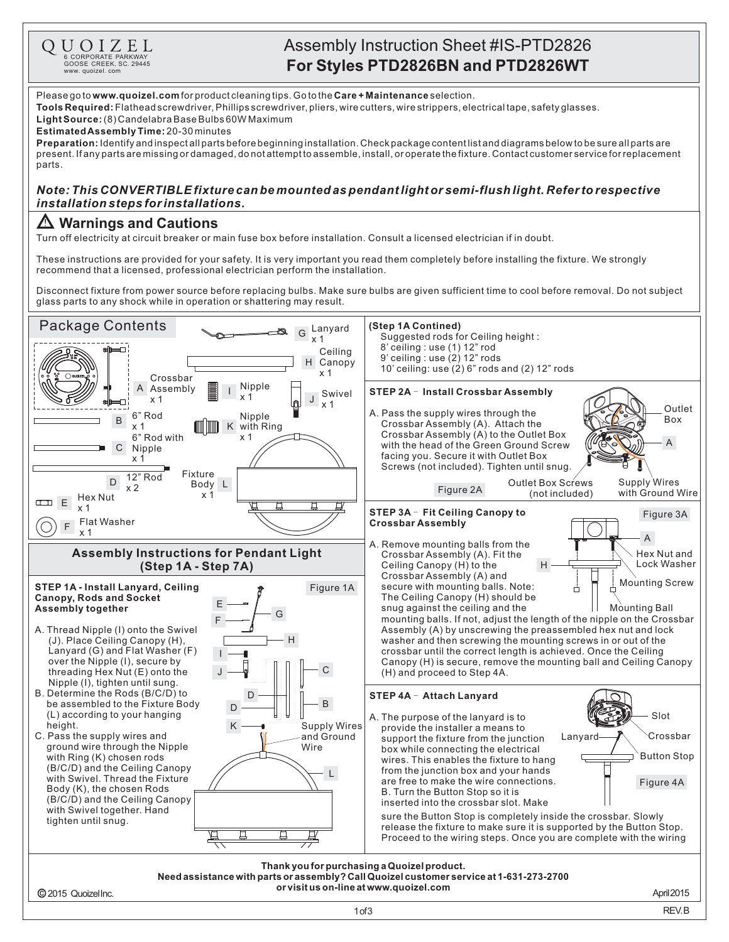

## Assembly Instruction Sheet #IS-PTD2826 **For Styles PTD2826BN and PTD2826WT**

Please go to **www.quoizel.com** for product cleaning tips. Go to the **Care + Maintenance** selection.

**Tools Required:** Flathead screwdriver, Phillips screwdriver, pliers, wire cutters, wire strippers, electrical tape, safety glasses.

(8)CandelabraBaseBulbs60WMaximum **LightSource:**

**EstimatedAssemblyTime:** 20-30minutes

**Preparation:** Identifyandinspectallpartsbeforebeginninginstallation.Checkpackagecontentlistanddiagramsbelowtobesureallpartsare present.Ifanypartsaremissingordamaged,donotattempttoassemble,install,oroperatethefixture.Contactcustomerserviceforreplacement parts.

## *Note: This CONVERTIBLE fixture can bemounted as pendantlight or semi-flushlight. Refer to respective installationsteps forinstallations.*

## **Warnings and Cautions**

Turn off electricity at circuit breaker or main fuse box before installation. Consult a licensed electrician if in doubt.

These instructions are provided for your safety. It is very important you read them completely before installing the fixture. We strongly recommend that a licensed, professional electrician perform the installation.

Disconnect fixture from power source before replacing bulbs. Make sure bulbs are given sufficient time to cool before removal. Do not subject glass parts to any shock while in operation or shattering may result.

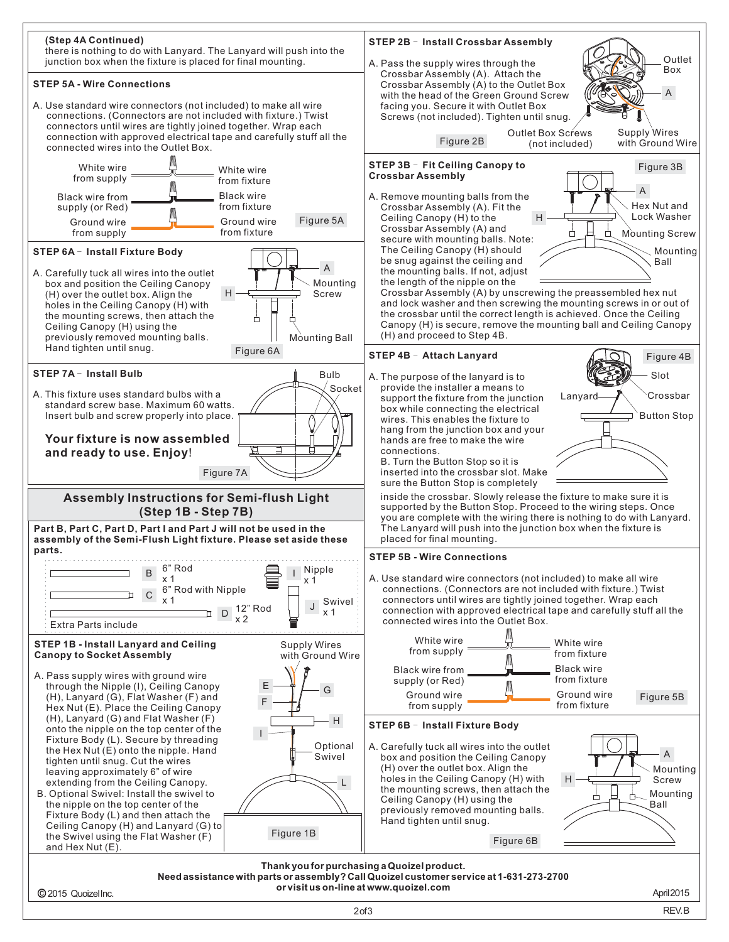